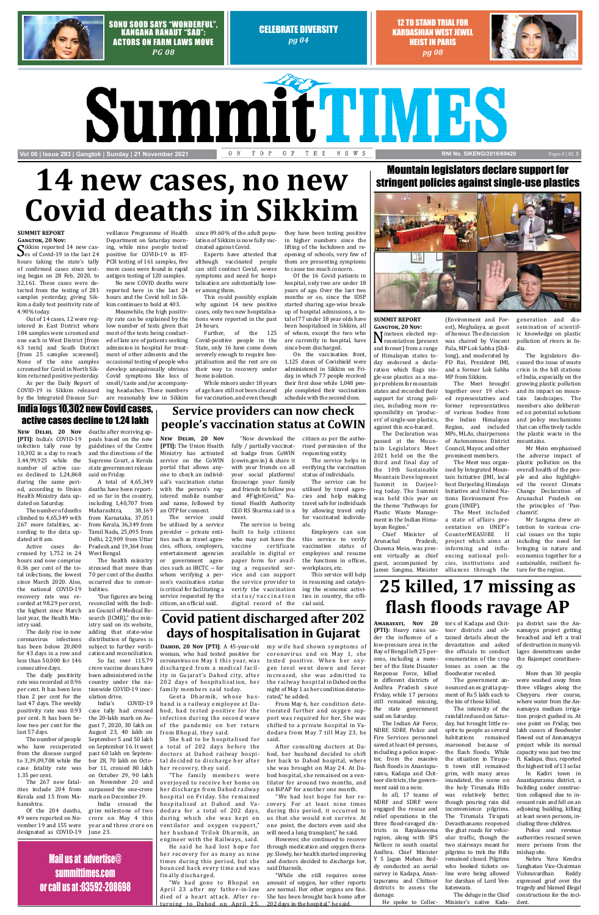Celebrate Diversity *pg 04* 

Sonu Sood says "Wonderful", Kangana Ranaut "Sad": Actors on farm laws move *Pg 08*

12 to stand trial for Kardashian West jewel heist in Paris *pg 08*



# **SummitTIMES** Vol 06 | Issue 293 | Gangtok | Sunday | 21 November 2021 **RNI NO. AUTOR OF THE NEWS** NEWS RNI No. SIKENG/2016/69420

# **14 new cases, no new Covid deaths in Sikkim**

### **Summit Repo rt**

GANGTOK, 20 NOV:<br> **C**ikkim reported 14 new cas-SIKKIM reported 14 new cas-<br>less of Covid-19 in the last 24<br>hours taking the state's tally hours taking the state's tally of confirmed cases since testing began on 28 Feb, 2020, to 32,161. These cases were detected from the testing of 281 samples yesterday, giving Sikkim a daily test positivity rate of 4.90% today.

Out of 14 cases, 12 were registered in East District where 184 samples were screened and one each in West District [from 63 tests] and South District [from 25 samples screened]. None of the nine samples screened for Covid in North Sikkim returned positive yesterday.

As per the Daily Report of COVID-19 in Sikkim released by the Integrated Disease Sur-

This could possibly explain why against 14 new positive cases, only two new hospitalisations were reported in the past 24 hours.<br>Further.

veillance Programme of Health Department on Saturday morning, while nine people tested positive for COVID-19 in RT-PCR testing of 161 samples, five more cases were found in rapid antigen testing of 120 samples.

> of the 125 Covid-positive people in the State, only 16 have come down severely enough to require hospitalisation and the rest are on their way to recovery under home isolation.

No new COVID deaths were reported here in the last 24 hours and the Covid toll in Sikkim continues to hold at 403.

Meanwhile, the high positivity rate can be explained by the low number of tests given that most of the tests being conducted of late are of patients seeking admission in hospital for treatment of other ailments and the occasional testing of people who develop unequivocally obvious Covid symptoms like loss of smell/ taste and/or accompanying headaches. These numbers are reasonably low in Sikkim

since 89.60% of the adult population of Sikkim is now fully vaccinated against Covid.

> GANGTOK, 20 NOV: Nineteen elected rep-resentatives [present and former] from a range of Himalayan states today endorsed a declaration which flags single-use plastics as a major problem for mountain states and recorded their support for strong policies, including more responsibility on 'producers' of single-use plastics, against this eco-hazard.

Experts have attested that although vaccinated people can still contract Covid, severe symptoms and need for hospitalisation are substantially lower among them.

> Chief Minister of<br>Arunachal Pradesh. Pradesh, Chowna Mein, was present virtually as chief

While minors under 18 years of age have still not been cleared for vaccination, and even though

they have been testing positive in higher numbers since the lifting of the lockdown and reopening of schools, very few of them are presenting symptoms to cause too much concern.

Of the 16 Covid patients in hospital, only two are under 18 years of age. Over the last two months or so, since the IDSP started sharing age-wise breakup of hospital admissions, a total of 77 under 18 year olds have been hospitalised in Sikkim, all of whom, except the two who are currently in hospital, have since been discharged.

On the vaccination front, 1,125 doses of Covishield were administered in Sikkim on Friday, in which 77 people received their first dose while 1,048 people completed their vaccination schedule with the second dose.

Mountain legislators declare support for stringent policies against single-use plastics



#### **Summit Report**

The Declaration was passed at the Mountain Legislators Meet 2021 held on the the third and final day of the 10th Sustainable Mountain Development Summit in Darieeling today. The Summit was held this year on the theme "Pathways for Plastic Waste Management in the Indian Himalayan Region."

guest, accompanied by

was chaired by Vincent Pala, MP Lok Sabha (Shillong), and moderated by PD Rai, President IMI, and a former Lok Sabha MP from Sikkim. The Meet brought

together over 19 elected representatives and former representatives of various bodies from the Indian Himalayan Region, and included MPs, MLAs, chairpersons of Autonomous District Council, Mayor, and other

(Environment and Forest), Meghalaya, as guest of honour. The discussion generation and dissemination of scientific knowledge on plastic pollution of rivers in India.

The Meet was organ-

prominent members. ised by Integrated Mountain Initiative (IMI, local host Darieeling Himalaya Initiative and United Nations Environment Program (UNEP). a state of affairs presentation on UNEP's

The Meet included

CounterMEASURE II project which aims at informing and influencing national poli-

James Sangma, Minister alliances through the ture for the region. cies, institutions and sustainable, resilient fu-

The legislators discussed the issue of waste crisis in the hill stations of India, especially on the growing plastic pollution and its impact on mountain landscapes. The members also deliberated on potential solutions and policy mechanisms that can effectively tackle the plastic waste in the mountains.

Mr Mein emphasised the adverse impact of plastic pollution on the overall health of the people and also highlighted the recent Climate Change Declaration of Arunachal Pradesh on the principles of 'Panchamrit'.

Mr Sangma drew attention to various crucial issues on the topic including the need for bringing in nature and economics together for a

### **Service providers can now check people's vaccination status at CoWIN**

**New Delhi, 20 Nov [PTI]:** The Union Health Ministry has activated service on the CoWIN portal that allows anyone to check an individual's vaccination status with the person's registered mobile number and name, followed by an OTP for consent. "Now download the fully / partially vaccinated badge from CoWIN (cowin.gov.in) & share it with your friends on all your social platforms! Encourage your family and friends to follow you and #FightCovid," National Health Authority CEO RS Sharma said in a

or government agencies such as IRCTC -- for whom verifying a person's vaccination status is critical for facilitating a service requested by the

The service could be utilised by a service provider -- private entities such as travel agencies, offices, employers, entertainment agencies tweet. built to help citizens who may not have the vaccine certificate available in digital or

citizen, an official said. vice and can support the service provider to verify the vaccination status/vaccination digital record of the

The service is being The service can be utilised by travel agencies and help making travel safe for individuals by allowing travel only for vaccinated individuals.

citizen as per the authorised permission of the requesting entity.

The service helps in verifying the vaccination status of individuals.

paper form for availing a requested serthe functions in offices, workplaces, etc.

Employers can use this service to verify vaccination status of employees and resume

This service will help in resuming and catalysing the economic activities in country, the official said.

## **25 killed, 17 missing as flash floods ravage AP**

**Amaravati, Nov 20 (PTI):** Heavy rains under the influence of a low-pressure area in the Bay of Bengal left 25 persons, including a member of the State Disaster Response Force, killed in different districts of Andhra Pradesh since Friday, while 17 persons still remained missing, the state government said on Saturday.

The Indian Air Force, NDRF, SDRF, Police and Fire Services personnel saved at least 64 persons, including a police inspector, from the massive flash floods in Anantapuramu, Kadapa and Chittoor districts, the government said in a note.

tors of Kadapa and Chit-pa district saw the Antoor districts and obtained details about the devastation and asked the officials to conduct enumeration of the crop losses as soon as the floodwater receded.

The government announced an ex gratia payment of Rs 5 lakh each to the kin of those killed.

In all, 17 teams of NDRF and SDRF were engaged the rescue and relief operations in the three flood-ravaged districts in Rayalaseema region, along with SPS Nellore in south coastal Andhra. Chief Minister Y S Jagan Mohan Reddy conducted an aerial survey in Kadapa, Anantapuramu and Chittoor districts to assess the damage. kateswara.

> He spoke to Collec-Minister's native Kada-

The intensity of the rainfall reduced on Saturday, but brought little respite to people as several habitations remained marooned because of the flash floods. While the situation in Tirupati town still remained grim, with many areas inundated, the scene on the holy Tirumala Hills was relatively better, though pouring rain did inconvenience pilgrims. The Tirumala Tirupati Devasthanams reopened the ghat roads for vehicular traffic, though the two stairways meant for pilgrims to trek the Hills remained closed. Pilgrims who booked tickets online were being allowed for darshan of Lord Ven-

The deluge in the Chief

namayya project getting breached and left a trail of destruction in many villages downstream under the Rajampet constituency. More than 30 people were washed away from

three villages along the Cheyyeru river course. where water from the Annamayya medium irrigation project gushed in. At one point on Friday, two lakh cusecs of floodwater flowed out of Annamayya project while its normal capacity was just two tmc ft. Kadapa, thus, reported the highest toll of 13 so far.

In Kadiri town in Anantapuramu district, a building under construction collapsed due to incessant rain and fell on an adjoining building, killing at least seven persons, including three children.

Police and revenue authorities rescued seven more persons from the mishap site.

Nehru Yuva Kendra Sanghatan Vice-Chairman Vishnuvardhan expressed grief over the tragedy and blamed illegal constructions for the incident.

## **Covid patient discharged after 202 days of hospitalisation in Gujarat**

**Dahod, 20 Nov [PTI]**: A 45-year-old my wife had shown symptoms of woman, who had tested positive for coronavirus on May 1 this year, was discharged from a medical facility in Gujarat's Dahod city, after 202 days of hospitalisation, her family members said today.

Geeta Dharmik, whose husband is a railway employee at Dahod, had tested positive for the infection during the second wave of the pandemic on her return from Bhopal, they said.

She had to be hospitalised for a total of 202 days before the doctors at Dahod railway hospital decided to discharge her after her recovery, they said.

"The family members were overjoyed to receive her home on her discharge from Dahod railway hospital on Friday. She remained hospitalised at Dahod and Vadodara for a total of 202 days, during which she was kept on ventilator and oxygen support," her husband Trilok Dharmik, an

engineer with the Railways, said. He said he had lost hope for her recovery for as many as nine times during this period, but she bounced back every time and was finally discharged.

coronavirus and on May 1, she tested positive. When her oxygen level went down and fever increased, she was admitted to the railway hospital in Dahod on the night of May 1 as her condition deteriorated," he added.

From May 6, her condition deteriorated further and oxygen support was required for her. She was shifted to a private hospital in Vadodara from May 7 till May 23, he said.

After consulting doctors at Dahod, her husband decided to shift her back to Dahod hospital, where she was brought on May 24. At Dahod hospital, she remained on a ventilator for around two months, and on BiPAP for another one month.

"We had gone to Bhopal on April 23 after my father-in-law died of a heart attack. After returning to Dahod on April 25, 202 days in the hospital," he said.

"We had lost hope for her recovery. For at least nine times during this period, it occurred to us that she would not survive. At one point, the doctors even said she will need a lung transplant," he said.

However, she continued to recover through medication and oxygen therapy. Slowly, her health started improving and doctors decided to discharge her, said Dharmik.

"While she still requires some amount of oxygen, her other reports are normal. Her other organs are fine. She has been brought back home after

### India logs 10,302 new Covid cases, active cases decline to 1.24 lakh

#### **New Delhi, 20 Nov [PTI]:** India's COVID-19 infection tally rose by 10,302 in a day to reach 3,44,99,925 while the number of active cases declined to 1,24,868 during the same period, according to Union Health Ministry data updated on Saturday.

The number of deaths climbed to 4,65,349 with 267 more fatalities, according to the data updated at 8 am.

Active cases decreased by 1,752 in 24

hours and now comprise 0.36 per cent of the total infections, the lowest since March 2020. Also, the national COVID-19 recovery rate was recorded at 98.29 per cent, the highest since March last year, the Health Ministry said.

The daily rise in new coronavirus infections has been below 20,000 for 43 days in a row and less than 50,000 for 146 consecutive days.

The daily positivity rate was recorded at 0.96 per cent. It has been less than 2 per cent for the last 47 days. The weekly positivity rate was 0.93 per cent. It has been below two per cent for the last 57 days.

The number of people who have recuperated from the disease surged to 3,39,09,708 while the case fatality rate was 1.35 per cent.

The 267 new fatalities include 204 from Kerala and 15 from Maharashtra.

Of the 204 deaths, 49 were reported on November 19 and 155 were designated as COVID-19

deaths after receiving appeals based on the new guidelines of the Centre and the directions of the Supreme Court, a Kerala state government release

said on Friday. A total of 4,65,349 deaths have been reported so far in the country, including 1,40,707 from<br>Maharashtra, 38,169 Maharashtra, 38,169 from Karnataka, 37,051

from Kerala, 36,349 from Tamil Nadu, 25,095 from Delhi, 22,909 from Uttar Pradesh and 19,364 from West Bengal. The health ministry stressed that more than 70 per cent of the deaths occurred due to comorbidities. "Our figures are being reconciled with the Indian Council of Medical Research (ICMR)," the ministry said on its website, adding that state-wise distribution of figures is subject to further verification and reconciliation. So far, over 115.79 crore vaccine doses have been administered in the country under the nationwide COVID-19 inoculation drive.<br>India's COVID-19 case tally had crossed the 20-lakh mark on August 7, 2020, 30 lakh on August 23, 40 lakh on September 5 and 50 lakh on September 16. It went past 60 lakh on September 28, 70 lakh on October 11, crossed 80 lakh on October 29, 90 lakh on November 20 and

surpassed the one-crore mark on December 19. India crossed the

grim milestone of two crore on May 4 this year and three crore on June 23.

Mail us at advertise@ summittimes.com or call us at :03592-208698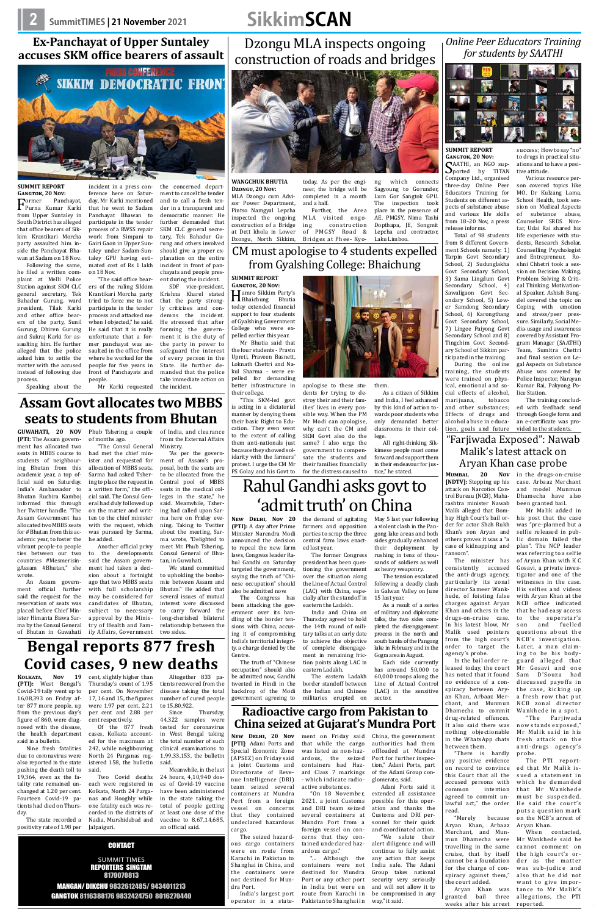## **Ex-Panchayat of Upper Suntaley accuses SKM office bearers of assault**



#### **Summit Report Gangtok, 20 Nov:**

**Former** Panchayat,<br>
Forma Kumar Karki<br>
From Upper Suntaley in from Upper Suntaley in South District has alleged that office bearers of Sikkim Krantikari Morcha party assaulted him inside the Panchayat Bhawan at Sadam on 18 Nov. Following the same,

he filed a written complaint at Melli Police Station against SKM CLC general secretary, Tek Bahadur Gurung, ward president, Tilak Karki and other office bearers of the party, Sunil Gurung, Dhiren Gurung and Sukraj Karki for assaulting him. He further alleged that the police asked him to settle the matter with the accused instead of following due process. Speaking about the

ference here on Saturday, Mr Karki mentioned that he went to Sadam Panchayat Bhawan to participate in the tender process of a RWSS repair work from Simpani to Gairi Gaon in Upper Suntaley under Sadam-Suntaley GPU having estimated cost of Rs 1 lakh on 18 Nov. "The said office bear-

ers of the ruling Sikkim Krantikari Morcha party tried to force me to not participate in the tender process and attacked me when I objected," he said. He said that it is really unfortunate that a former panchayat was assaulted in the office from where he worked for the people for five years in front of Panchayats and people.

incident in a press conthe concerned department to cancel the tender and to call a fresh tender in a transparent and democratic manner. He further demanded that SKM CLC general secretary, Tek Bahadur Gurung and others involved should give a proper explanation on the entire incident in front of panchayats and people pres-

Further, the Area<br>MLA visited ongo-MLA visited ongo-<br>ing construction construction of PMGSY Road & Bridges at Phee- Kyo-

Mr Karki requested

GANGTOK, 20 Nov:<br>
CAATHI, an NGO sup-SAATHI, an NGO sup-<br>Sported by TITAN<br>Company Ltd., organised Company Ltd., organised three-day Online Peer Educators Training for Students on different aspects of substance abuse and various life skills from 18–20 Nov, a press release informs.

ent during the incident. SDF vice-president, Krishna Kharel stated that the party strongly criticizes and condemns the incident. He stressed that after forming the government it is the duty of the party in power to safeguard the interest of every person in the State. He further demanded that the police take immediate action on the incident.

Dzongu MLA inspects ongoing construction of roads and bridges



#### **WANGCHUK BHUTIA Dzongu, 20 Nov:**

MLA Dzongu cum Advisor Power Department, Pintso Namgyal Lepcha inspected the ongoing construction of a Bridge at Dett khola in Lower Dzongu, North Sikkim,

today. As per the engineer, the bridge will be completed in a month and a half.

**GANGTOK, 20 NOV:**<br>**T Tamro Sikkim Party's Hamro Sikkim Party's**<br>
bhaichung Bhutia<br>
bday extended financial today extended financial support to four students of Gyalshing Government College who were expelled earlier this year.

ng which connects Sagyoung to Gorunder, Lum Gor Sangtok GPU.<br>The inspection took inspection took place in the presence of AE, PMGSY, Nima Tashi Dopthapa, JE, Songmit Lepcha and contractor, Laku Limboo.

### *Online Peer Educators Training for students by SAATHI*



**SUMMIT REPORT**

Total of 98 students from 8 different Government Schools namely: 1) Tarpin Govt Secondary School, 2) Sudunglakha Govt Secondary School, 3) Sama Lingdum Govt Secondary School, 4) Sawaligaon Govt Secondary School, 5) Lower Samdong Secondary School, 6) Karongthang Govt Secondary School, 7) Lingee Paiyong Govt Secondary School and 8) Tingchim Govt Secondary School of Sikkim participated in the training.

During the online training, the students were trained on physical, emotional and social effects of alcohol,<br>marijuana, tobacco marijuana, and other substances; Effects of drugs and alcohol abuse in educa-

success; How to say "no" to drugs in practical situations and to have a posi-

tive attitude.

## "Farjiwada Exposed": Nawab Malik's latest attack on Aryan Khan case probe<br>BAI, 20 Nov in the drugs-on-c

Various resource person covered topics like MO, Dr Kulzang Lama, School Health, took session on Medical Aspects of substance abuse, Counselor SRDS Nimtar, Udai Rai shared his life experience with students, Research Scholar, Counselling Psychologist and Entrepreneur, Roshni Chhetri took a session on Decision Making, Problem Solving & Critical Thinking. Motivational Speaker, Ashish Bangdel covered the topic on Coping with emotion and stress/peer pressure. Similarly, Social Media-usage and awareness covered by Assistant Program Manager (SAATHI) Team, Sumitra Chettri and final session on Legal Aspects on Substance Abuse was covered by Police Inspector, Narayan

tion, goals and future vided to the students. Kumar Rai, Pakyong Police Station. The training concluded with feedback send through Google form and an e-certificate was pro-

any positive evidence on record to convince this Court that all the accused persons with intention agreed to commit unlawful act," the order read.<br>"Merely

because Aryan Khan, Arbaaz Merchant, and Munmun Dhamecha were travelling in the same cruise, that by itself cannot be a foundation for the charge of conspiracy against them," the court added.

## CM must apologise to 4 students expelled from Gyalshing College: Bhaichung

**Summit Report**

Mr Bhutia said that the four students - Pravin Upreti, Praveen Basnett, Loknath Chettri and Nakul Sharma - were expelled for demanding better infrastructure in their college.

"This SKM-led govt is acting in a dictatorial manner by denying them their basic Right to Education. They even went to the extent of calling them anti-nationals just because they showed solidarity with the farmers' protest. I urge the CM Mr

PS Golay and his Govt to stroy their and their families' lives in every possible way. When the PM Mr Modi can apologise, why can't the CM and SKM Govt also do the same? I also urge the government to compensate the students and their families financially for the distress caused to

apologise to these students for trying to dethem. As a citizen of Sikkim and India, I feel ashamed by this kind of action towards poor students who only demanded better classrooms in their col-

> lege. All right-thinking Sikkimese people must come forward and support them in their endeavour for justice," he stated.

## **Assam Govt allocates two MBBS seats to students from Bhutan**

**MUMBAI, [NDTV]:** Stepping up his attack on Narcotics Control Bureau (NCB), Maharashtra minister Nawab Malik alleged that Bombay High Court's bail order for actor Shah Rukh Khan's son Aryan and others proves it was a "a case of kidnapping and ransom". The minister has consistently accused the anti-drugs agency, particularly its zonal director Sameer Wankhede, of foisting false charges against Aryan Khan and others in the drugs-on-cruise case. In his latest blow, Mr Malik used pointers from the high court's order to target the Gosavi, a private inveswith Aryan Khan at the son and fuelled questions about the NCB's investigation. Later, a man claimsands of soldiers as well The tension escalated following a deadly clash in Galwan Valley on June As a result of a series of military and diplomatic talks, the two sides com-

**Guwahati, 20 Nov [PTI:** The Assam government has allocated two seats in MBBS course to students of neighbouring Bhutan from this academic year, a top official said on Saturday. India's Ambassador to Bhutan Ruchira Kamboj informed this through her Twitter handle. "The Assam Government has allocated two MBBS seats for #Bhutan from this academic year, to foster the vibrant people-to people ties between our two

countries #MesmerisingAssam #Bhutan," she wrote.

An Assam government official further said the request for the reservation of seats was placed before Chief Minister Himanta Biswa Sarma by the Consul General of Bhutan in Guwahati

Phub Tshering a couple of months ago.

"The Consul General had met the chief minister and requested for allocation of MBBS seats. Sarma had asked Tshering to place the request in a written form," the official said. The Consul General had duly followed up on the matter and written to the chief minister with the request, which was pursued by Sarma, he added.

Another official privy

to the developments said the Assam government had taken a decision about a fortnight ago that two MBBS seats with full scholarship may be considered for

of India, and clearance from the External Affairs "As per the govern-

Ministry.

ment of Assam's proposal, both the seats are to be allocated from the Central pool of MBBS seats in the medical colleges in the state," he said. Meanwhile, Tshering had called upon Sarma here on Friday evening. Taking to Twitter about the meeting, Sarma wrote, "Delighted to meet Mr. Phub Tshering,

candidates of Bhutan, subject to necessary approval by the Ministry of Health and Family Affairs, Government Consul General of Bhutan, in Guwahati. We stand committed to upholding the bonhomie between Assam and Bhutan." He added that several issues of mutual interest were discussed to carry forward the long-cherished bilateral relationship between the two sides.

#### SUMMIT TIMES REPORTERS SINGTAM 8170070813 MANGAN/ DIKCHU 9832612485/ 9434011213 Gangtok 8116388176 9832424750 8016270440

In the bail order released today, the court has noted that it found no evidence of a conspiracy between Aryan Khan, Arbaaz Merchant, and Munmun Dhamecha to commit drug-related offences. It also said there was

nothing objectionable in the WhatsApp chats between them. "There is hardly

Aryan Khan was granted bail three weeks after his arrest in the drugs-on-cruise case. Arbaaz Merchant and model Munmun Dhamecha have also been granted bail.

Mr Malik added in his post that the case was "pre-planned but a selfie released in public domain failed the plan". The NCP leader was referring to a selfie

of Aryan Khan with K C

tigator and one of the witnesses in the case. His selfies and videos

NCB office indicated that he had easy access to the superstar's

ing to be his bodyguard alleged that Mr Gosavi and one Sam D'Souza had discussed payoffs in the case, kicking up a fresh row that put

NCB zonal director Wankhede in a spot. "The Farjiwada now stands exposed," Mr Malik said in his fresh attack on the anti-drugs agency 's

probe.

The PTI reported that Mr Malik issued a statement in which he demanded that Mr Wankhede must be suspended. He said the court's puts a question mark on the NCB's arrest of Aryan Khan.

When contacted, Mr Wankhede said he cannot comment on the high court's order as the matter was sub-judice and also that he did not want to give importance to Mr Malik's allegations, the PTI

agency's probe. Gogra area in August. Each side currently has around 50,000 to 60,000 troops along the Line of Actual Control (LAC) in the sensitive sector.

reported.

Rahul Gandhi asks govt to 'admit truth' on China

hul Gandhi on Saturday targeted the government, saying the truth of "Chinese occupation" should also be admitted now.

**New Delhi, Nov 20 (PTI):** A day after Prime Minister Narendra Modi announced the decision to repeal the new farm laws, Congress leader Rathe demand of agitating farmers and opposition

The Congress has been attacking the government over its handling of the border tensions with China, accusing it of compromising India's territorial integrity, a charge denied by the Centre.

The truth of "Chinese occupation" should also be admitted now, Gandhi tweeted in Hindi in the backdrop of the Modi government agreeing to

parties to scrap the three central farm laws enacted last year. The former Congress

president has been questioning the government over the situation along the Line of Actual Control (LAC) with China, especially after the standoff in eastern the Ladakh.

India and China on Thursday agreed to hold the 14th round of military talks at an early date to achieve the objective of complete disengagement in remaining friction points along LAC in

The eastern Ladakh border standoff between the Indian and Chinese militaries erupted on

May 5 last year following a violent clash in the Pangong lake areas and both sides gradually enhanced their deployment by

rushing in tens of thou-

eastern Ladakh. pleted the disengagement process in the north and south banks of the Pangong lake in February and in the

as heavy weaponry.

15 last year.

### **Radioactive cargo from Pakistan to China seized at Gujarat's Mundra Port**

**[PTI]**: Adani Ports and Special Economic Zone (APSEZ) on Friday said a joint Customs and Directorate of Revenue Intelligence (DRI) team seized several containers at Mundra Port from a foreign vessel on concerns that they contained undeclared hazardous cargo.

## **New Delhi, 20 Nov**  ment on Friday said

The seized hazardous cargo containers were en route from Karachi in Pakistan to Shanghai in China, and the containers were not destined for Mundra Port.

"On 18 November,

active substances. 2021, a joint Customs and DRI team seized several containers at Mundra Port from a foreign vessel on con-

India's largest port operator in a statein India but were en route from Karachi in Pakistan to Shanghai in

cerns that they contained undeclared haz-

ardous cargo."

that while the cargo was listed as non-hazardous, the seized containers had Hazard Class 7 markings - which indicate radio-China, the government authorities had them offloaded at Mundra Port for further inspection," Adani Ports, part of the Adani Group conglomerate, said. Adani Ports said it

"... Although the containers were not destined for Mundra Port or any other port

extended all assistance possible for this operation and thanks the Customs and DRI personnel for their quick and coordinated action. "We salute their alert diligence and will continue to fully assist any action that keeps India safe. The Adani Group takes national security very seriously and will not allow it to be compromised in any way," it said.

## **Bengal reports 877 fresh Covid cases, 9 new deaths**

**Kolkata, Nov 19 (PTI):** West Bengal's Covid-19 tally went up to 16,08,393 on Friday after 877 more people, up from the previous day's figure of 860, were diagnosed with the disease, the health department said in a bulletin.

Nine fresh fatalities due to coronavirus were also reported in the state pushing the death toll to 19,364, even as the fatality rate remained unchanged at 1.20 per cent. Fourteen Covid-19 patients had died on Thursday.

positivity rate of 1.98 per

### **CONTACT**

cent, slightly higher than Thursday's count of 1.95 per cent. On November 17, 16 and 15, the figures were 1.97 per cent, 2.21

The state recorded a Jalpaiguri.

said. Two Covid deaths each were registered in Kolkata, North 24 Parganas and Hooghly while one fatality each was recorded in the districts of Nadia, Murshidabad and

per cent and 2.88 per cent respectively. Of the 877 fresh cases, Kolkata accounted for the maximum at 242, while neighbouring North 24 Parganas registered 158, the bulletin to 15,80,922. 44,322 samples were tested for coronavirus in West Bengal taking the total number of such clinical examinations to 1,99,33,153, the bulletin said.

Altogether 833 patients recovered from the disease taking the total number of cured people

Meanwhile, in the last 24 hours, 4,10,940 doses of Covid-19 vaccine have been administered in the state taking the total of people getting at least one dose of the vaccine to 8,67,14,685,

an official said.

Thursday,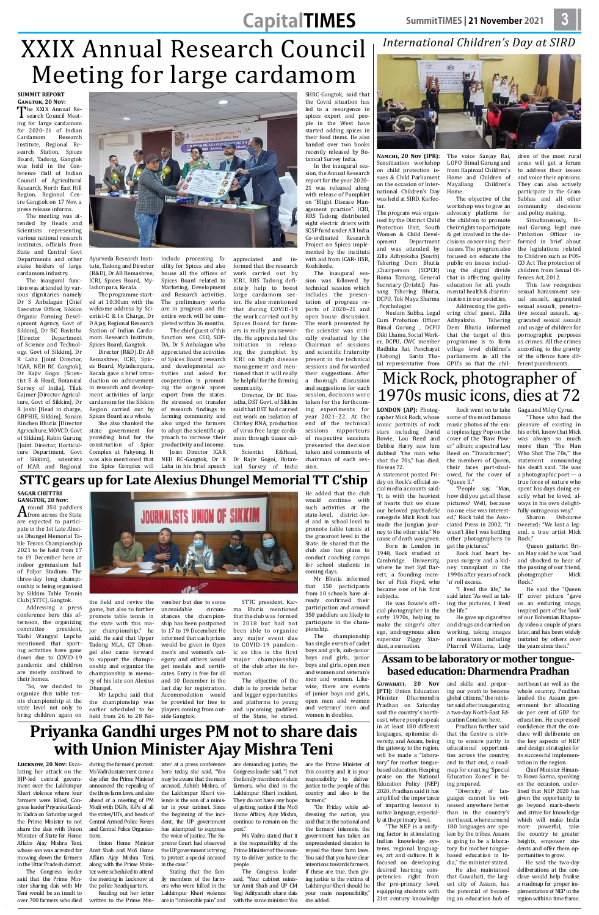## **CapitalTIMES SummitTIMES | 21 November 2021 3**

### **SUMMIT REPORT** GANGTOK, 20 NOV:<br>
The XXIX Annual Re-

# XXIX Annual Research Council Meeting for large cardamom

The XXIX Annual Research Council Meeting for large cardamom search Council Meetfor 2020–21 of Indian Cardamom Research Institute, Regional Research Station, Spices Board, Tadong, Gangtok was held in the Conference Hall of Indian Council of Agricultural Research, North East Hill Region, Regional Centre Gangtok on 17 Nov, a press release informs.

The meeting was attended by Heads and Scientists representing various national research institutes, officials from State and Central Govt Departments and other stake holders of large cardamom industry.

The inaugural function was attended by various dignitaries namely Dr S Anbalagan [Chief Executive Officer, Sikkim Organic Farming Development Agency, Govt of Sikkim], Dr BC Basistha [Director Department of Science and Technology, Govt of Sikkim], Dr R Laha [Joint Director, ICAR, NEH RC Gangtok], Dr Rajiv Gogoi [Scientist E & Head, Botanical Survey of India], Tilak Gajmer [Director Agriculture, Govt of Sikkim], Dr R Joshi [Head in charge, GBPHIE, Sikkim], Sonam Rinchen Bhutia [Director Agriculture, MOVCD. Govt of Sikkim], Rabin Gurung [Joint Director, Horticulture Department, Govt<br>of Sikkiml. scientists Sikkim], scientists of ICAR and Regional



Ayurveda Research Institute, Tadong and Director (R&D), Dr AB Remashree, ICRI, Spices Board, Myladumpara, Kerala.

The programme started at 10:30am with the welcome address by Scientist-C & In Charge, Dr D Ajay, Regional Research Station of Indian Cardamom Research Institute, Spices Board, Gangtok.

> istha, DST Govt. of Sikkim said that DST had carried out work on isolation of Chirkey RNA, production of virus free large cardamom through tissue culture.<br>Scientist

Director (R&D), Dr AB Remashree, ICRI, Spices Board, Myladumpara, Kerala gave a brief introduction on achievement in research and development activities of large cardamom for the Sikkim Region carried out by Spices Board as a whole.

She also thanked the state government for providing land for the construction of Spice Complex at Pakyong. It was also mentioned that

include processing facility for Spices and also house all the offices of Spices Board related to Marketing, Development and Research activities.

The preliminary works are in progress and the entire work will be completed within 36 months. The chief guest of this

> E&Head, Dr Rajiv Gogoi, Botanchairman of each session.

the Spice Complex will Laha in his brief speech ical Survey of India Joint Director ICAR NEH RC-Gangtok, Dr R

function was CEO, SOF-DA, Dr S Anbalagan who appreciated the activities of Spices Board research and developmental activities and asked for cooperation in promoting the organic spices export from the states. He stressed on transfer of research findings to farming community and also urged the farmers to adopt the scientific approach to increase their productivity and income.

appreciated and informed that the research work carried out by ICRI, RRS Tadong definitely help to boost large cardamom sector. He also mentioned that during COVID-19 the work carried out by Spices Board for farmers is really praiseworthy. He appreciated the initiation in releasing the pamphlet by ICRI on blight disease management and mentioned that it will really be helpful for the farming community. Director, Dr BC Bas-

SHRC-Gangtok, said that the Covid situation has led to a resurgence in spices export and people in the West have started adding spices in their food items. He also handed over two books recently released by Botanical Survey India.

GANGTOK, 20 Nov:<br> **A** round 350 paddlers A round 350 paddlers<br>are expected to particiare expected to participate in the 1st Late Alexius Dhungel Memorial Table Tennis Championship 2021 to be held from 17 to 19 December here at indoor gymnasium hall of Paljor Stadium. The three-day long championship is being organised by Sikkim Table Tennis Club [STTC], Gangtok. Addressing a press conference here this afternoon, the organizing<br>committee president, president, Tashi Wangyal Lepcha mentioned that sporting activities have gone down due to COVID-19 pandemic and children are mostly confined to their homes. "So, we decided to organize this table tennis championship at the state level not only to bring children again on



In the inaugural session, the Annual Research report for the year 2020– 21 was released along with release of Pamphlet on "Blight Disease Management practice". ICRI, RRS Tadong distributed eight electric driers with SCSP fund under All India Co-ordinated Research Project on Spices implemented by the institute with aid from ICAR- IISR, Kozhikode. tar.

vember but due to some<br>unavoidable circumunavoidable stances the championship has been postponed to 17 to 19 December. He informed that cash prizes would be given in Open men's and women's category and others would get medals and certificates. Entry is free for all and 10 December is the last day for registration. STTC president, Karma Bhutia mentioned that the club was formed in 2018 but had not been able to organize any major event due to COVID-19 pandemic so this is the first major championship of the club after its formation. The objective of the

The inaugural session was followed by technical session which includes the presentation of progress reports of 2020–21 and open house discussion. The work presented by the scientist was critically evaluated by the Chairman of sessions and scientific fraternity present in the technical sessions and forwarded their suggestions. After a thorough discussion and suggestions for each session, decisions were taken for the forthcoming experiments for year 2021–22. At the end of the technical sessions rapporteurs of respective sessions presented the decision taken and comments of

## *International Children's Day at SIRD*



**Namchi, 20 Nov (IPR):**  Sensitization workshop on child protection issues & Child Parliament on the occasion of International Children's Day was held at SIRD, Karfec-

The program was organised by the District Child Protection Unit, South Women & Child Devel-<br>opment Department Department and was attended by Zilla Adhyaksha (South) Tshering Dem Bhutia ,Chairperson (SCPCR) Roma Tamang, General Secretary (Drishti) Passang Tshering Bhutia, DCPU, Tek Maya Sharma , Psychologist

University, where he met Syd Barrett, a founding member of Pink Floyd, who became one of his first subjects.

Neelam Subba, Legal Cum Probation Officer Bimal Gurung , DCPU Diki Lhamu, Social Worker, DCPU, CWC member Radhika Rai, Panchayat (Rabong) Sarita Thatal representative from

The objective of the workshop was to give an advocacy platform for the children to promote their rights to participate & get involved in the decisions concerning their issues. The program also focused on educate the public on issues including the digital divide that is affecting quality education for all, youth mental health & discrimination in our societies.

The voice Sanjay Rai, LOPO Bimal Gurung and from Kapinzal Children's Home and Children of<br>Mayallang Children's Children's Home. dren of the most rural

Addressing the gathering chief guest, Zilla<br>Adhyaksha Tshering Adhyaksha Dem Bhutia informed that the target of this programme is to form village level children's parliaments in all the GPU's so that the chilareas will get a forum to address their issues and voice their opinions. They can also actively participate in the Gram Sabhas and all other community decisions and policy making.

Simultaneously, Bimal Gurung, legal cum Probation Officer informed in brief about the legislations related to Children such as POS-CO Act The protection of children from Sexual Offences Act, 2012.

This law recognises sexual harassment sexual assault, aggravated sexual assault, penetrative sexual assault, aggravated sexual assault and usage of children for pornographic purposes as crimes. All the crimes according to the gravity of the offence have different punishments.

## **STTC gears up for Late Alexius Dhungel Memorial TT C'ship**

## **SAGAR CHETTRI**

the field and revive the game, but also to further promote table tennis in the state with this major championship," he said. He said that Upper Tadong MLA, GT Dhungel also came forward to support the championship and organize the championship in memory of his late son Alexius Dhungel.

Mr Lepcha said that the championship was earlier scheduled to be held from 26 to 28 Noside Gangtok.

Accommodation would be provided for free to players coming from outclub is to provide better and bigger opportunities and platforms to young and upcoming paddlers of the State, he stated.

He added that the club would continue with such activities at the state-level, district-level and in school level to promote table tennis at the grassroot level in the State. He shared that the club also has plans to

conduct coaching camps for school students in coming days.

> Mr Bhutia informed that 150 participants from 10 schools have already confirmed their participation and around 350 paddlers are likely to participate in the cham-

pionship. championship has single events of cadet boys and girls, sub-junior boys and girls, junior boys and girls, open men and women and veteran's

men and women. Likewise, there are events of junior boys and girls, open men and women and veterans' men and women in doubles.

## Mick Rock, photographer of 1970s music icons, dies at 72

**LONDON (AP):** Photographer Mick Rock, whose iconic portraits of rock stars including David Bowie, Lou Reed and Debbie Harry saw him dubbed "the man who shot the 70s," has died.

He was 72. A statement posted Friday on Rock's official social media accounts said: "It is with the heaviest of hearts that we share our beloved psychedelic renegade Mick Rock has made the Jungian journey to the other side." No cause of death was given. Born in London in

1948, Rock studied at

He was Bowie's official photographer in the early 1970s, helping to make the singer's alter ego, androgynous alien<br>superstar Ziggy Starsuperstar Ziggy dust, a sensation.

Rock went on to take some of the most famous

"Queen II."

no one else was interested," Rock told the Associated Press in 2002. "It wasn't like I was battling other photographers to

get the pictures."

Rock had heart by-

pass surgery and a kidney transplant in the 1990s after years of rock 'n' roll excess.

music photos of the era: a topless Iggy Pop on the cover of the "Raw Power" album; a spectral Lou Reed on "Transformer"; the members of Queen, their faces part-shadowed, for the cover of "People say, 'Man, how did you get all these pictures? Well, because pleasure of existing in his orbit, know that Mick was always so much more than 'The Man Who Shot The 70s,'" the statement announcing his death said. "He was a photographic poet — a true force of nature who spent his days doing exactly what he loved, always in his own delight-

"I lived the life," he said later. "As well as taking the pictures, I lived the life."

He gave up cigarettes and drugs and carried on working, taking images of musicians including Pharrell Williams, Lady Gaga and Miley Cyrus. "Those who had the

fully outrageous way." Sharon Osbourne tweeted: "We lost a legend, a true artist Mick Rock."

Queen guitarist Brian May said he was "sad

and shocked to hear of the passing of our friend,<br>photographer Mick photographer Rock."

He said the "Queen II" cover picture "gave us an enduring image, inspired part of the 'look' of our Bohemian Rhapsody video a couple of years later, and has been widely imitated by others over the years since then."

## **Priyanka Gandhi urges PM not to share dais with Union Minister Ajay Mishra Teni**

**Lucknow, 20 Nov:** Escalating her attack on the BJP-led central government over the Lakhimpur Kheri violence where four farmers were killed, Congress leader Priyanka Gandhi Vadra on Saturday urged the Prime Minister to not share the dais with Union Minister of State for Home Affairs Ajay Mishra Teni, whose son was arrested for mowing down the farmers in the Uttar Pradesh district.

The Congress leader said that the Prime Minister sharing dais with Mr Teni would be an insult to over 700 farmers who died

during the farmers' protest. Ms Vadra's statement came a day after the Prime Minister announced the repealing of the three farm laws, and also ahead of a meeting of PM Modi with DGPs, IGPs of all the states/UTs, and heads of Central Armed Police Forces and Central Police Organisations.

Union Home Minister Amit Shah and MoS Home Affairs Ajay Mishra Teni, along with the Prime Minister, were scheduled to attend the meeting in Lucknow at

the police headquarters. Reading out her letter written to the Prime Min-

ister at a press conference are demanding justice, the here today, she said, "You may be aware that the main accused, Ashish Mishra, of the Lakhimpur Kheri violence is the son of a minister in your cabinet. Since the beginning of the incident, the UP government has attempted to suppress the voice of justice. The Su-

preme Court had observed the UP government is trying to protect a special accused in the case."

Stating that the family members of the farmers who were killed in the Lakhimpur Kheri violence are in ''intolerable pain'' and

Home Affairs, Ajay Mishra, continue to remain on the

post."

Ms Vadra stated that it is the responsibility of the Prime Minister of the country to deliver justice to the

Congress leader said, "I met the family members of slain farmers, who died in the Lakhimpur Kheri incident. They do not have any hope of getting justice if the MoS are the Prime Minister of this country and it is your responsibility to deliver justice to the people of this country and also to the farmers." "On Friday while ad-

people.

The Congress leader said, "Your cabinet minister Amit Shah and UP CM Yogi Adityanath share dais with the same minister. You

dressing the nation, you said that in the national and the farmers' interests, the government has taken an unprecedented decision to repeal the three farm laws. You said that you have clear intentions towards farmers. If these are true, then giving justice to the victims of Lakhimpur Kheri should be your main responsibility," she added.

### **Assam to be laboratory or mother tonguebased education: Dharmendra Pradhan**

**Guwahati, 20 Nov [PTI]:** Union Education Minister Dharmendra Pradhan on Saturday said the country's northeast, where people speak in at least 180 different languages, epitomise diversity, and Assam, being the gateway to the region, will be made a "laboratory" for mother tonguebased education. Heaping praise on the National Education Policy (NEP) 2020, Pradhan said it has amplified the importance of imparting lessons in native language, especial-

ly at the primary level. "The NEP is a unifying factor in stimulating Indian knowledge systems, regional languages, art and culture. It is focused on developing desired learning competencies right from the pre-primary level, equipping students with 21st century knowledge

and skills and preparing our youth to become global citizens," the minister said after inaugurating a two-day North-East Education Conclave here. Pradhan further said that the Centre is striving to ensure parity in educational opportunities across the country, and to that end, a roadmap for creating 'Special Education Zones' is be-

ing prepared.

"Diversity of languages cannot be witnessed anywhere better than in the country's northeast, where around 180 languages are spoken by the tribes. Assam is going to be a laboratory for mother tonguebased education in India," the minister stated.

northeast as well as the

whole country. Pradhan lauded the Assam government for allocating six per cent of GDP for education. He expressed confidence that the conclave will deliberate on the key aspects of NEP and design strategies for its successful implementation in the region.

He also maintained that Guwahati, the largest city of Assam, has the potential of becoming an education hub of He said the two-day deliberations at the conclave would help finalise a roadmap for proper implementation of NEP in the region within a time frame.

Chief Minister Himanta Biswa Sarma, speaking on the occasion, underlined that NEP 2020 has given the opportunity to go beyond mark-sheets and strive for knowledge which will make India more powerful, take the country to greater heights, empower students and offer them opportunities to grow.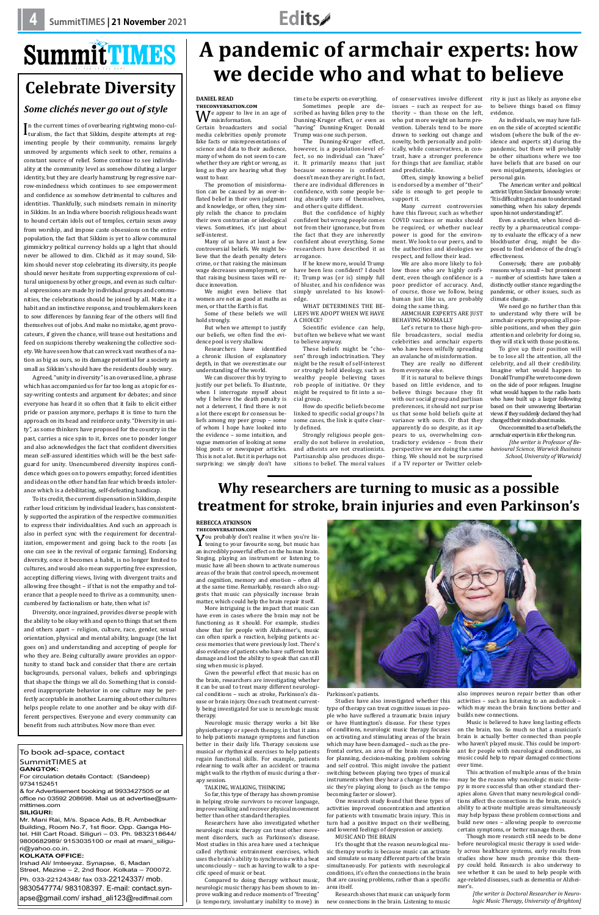#### To book ad-space, contact SummitTimes at GANGTOK:



For circulation details Contact: (Sandeep) 9734152451

& for Advertisement booking at 9933427505 or at office no 03592 208698. Mail us at advertise@summittimes.com

#### **Siliguri:**

Mr. Mani Rai, M/s. Space Ads, B.R. Ambedkar Building, Room No.7, 1st floor. Opp. Ganga Hotel. Hill Cart Road. Siliguri – 03. Ph. 9832318644/ 9800682989/ 9153035100 or mail at mani\_siliguri@yahoo.co.in.

#### **Kolkata office:**

Irshad Ali/ Imteeyaz. Synapse, 6, Madan Street, Mezine – 2, 2nd floor. Kolkata – 700072. Ph. 033-22124348/ fax 033-22124337/ mob. 9830547774/ 983108397. E-mail: contact.synapse@gmail.com/ irshad\_ali123@rediffmail.com

## **Edits**

## **Celebrate Diversity**

### *Some clichés never go out of style*

If the current times of overbearing rightwing mono-cur-<br>turalism, the fact that Sikkim, despite attempts at reg-<br>imenting, people, by their community, remains, largely n the current times of overbearing rightwing mono-culimenting people by their community, remains largely unmoved by arguments which seek to other, remains a constant source of relief. Some continue to see individuality at the community level as somehow diluting a larger identity, but they are clearly hamstrung by regressive narrow-mindedness which continues to see empowerment and confidence as somehow detrimental to cultures and identities. Thankfully, such mindsets remain in minority in Sikkim. In an India where boorish religious heads want to hound certain idols out of temples, certain sexes away from worship, and impose caste obsessions on the entire population, the fact that Sikkim is yet to allow communal gimmickry political currency holds up a light that should never be allowed to dim. Clichéd as it may sound, Sikkim should never stop celebrating its diversity, its people should never hesitate from supporting expressions of cultural uniqueness by other groups, and even as such cultural expressions are made by individual groups and communities, the celebrations should be joined by all. Make it a habit and an instinctive response, and troublemakers keen to sow differences by fanning fear of the others will find themselves out of jobs. And make no mistake, agent provocateurs, if given the chance, will tease out hesitations and feed on suspicions thereby weakening the collective society. We have seen how that can wreck vast swathes of a nation as big as ours, so its damage potential for a society as small as Sikkim's should have the residents doubly wary.

**W** e appear to live in an age of<br>Certain broadcasters and social Certain broadcasters and social media celebrities openly promote fake facts or misrepresentations of science and data to their audience,

Agreed, "unity in diversity" is an overused line, a phrase which has accompanied us for far too long as a topic for essay-writing contests and argument for debates; and since everyone has heard it so often that it fails to elicit either pride or passion anymore, perhaps it is time to turn the approach on its head and reinforce unity. "Diversity in unity", as some thinkers have proposed for the country in the past, carries a nice spin to it, forces one to ponder longer and also acknowledges the fact that confident diversities mean self-assured identities which will be the best safeguard for unity. Unencumbered diversity inspires confidence which goes on to powers empathy; forced identities and ideas on the other hand fan fear which breeds intolerance which is a debilitating, self-defeating handicap.

To its credit, the current dispensation in Sikkim, despite rather loud criticism by individual leaders, has consistently supported the aspiration of the respective communities to express their individualities. And such an approach is also in perfect sync with the requirement for decentralization, empowerment and going back to the roots [as one can see in the revival of organic farming]. Endorsing diversity, once it becomes a habit, is no longer limited to cultures, and would also mean supporting free expression, accepting differing views, living with divergent traits and allowing free thought – if that is not the empathy and tolerance that a people need to thrive as a community, unencumbered by factionalism or hate, then what is? Diversity, once ingrained, provides diverse people with the ability to be okay with and open to things that set them and others apart – religion, culture, race, gender, sexual orientation, physical and mental ability, language (the list goes on) and understanding and accepting of people for who they are. Being culturally aware provides an opportunity to stand back and consider that there are certain backgrounds, personal values, beliefs and upbringings that shape the things we all do. Something that is considered inappropriate behavior in one culture may be perfectly acceptable in another. Learning about other cultures helps people relate to one another and be okay with different perspectives. Everyone and every community can benefit from such attributes. Now more than ever.

## **A pandemic of armchair experts: how we decide who and what to believe**

### **Daniel Read theconversation.com**

many of whom do not seem to care whether they are right or wrong, as long as they are hearing what they want to hear.

The promotion of misinformation can be caused by an over-inflated belief in their own judgment and knowledge, or often, they simply relish the chance to proclaim their own contrarian or ideological views. Sometimes, it's just about self-interest.

Many of us have at least a few controversial beliefs. We might believe that the death penalty deters crime, or that raising the minimum wage decreases unemployment, or that raising business taxes will reduce innovation.

We might even believe that women are not as good at maths as men, or that the Earth is flat.

Some of these beliefs we will hold strongly.

But when we attempt to justify our beliefs, we often find the evidence pool is very shallow.

Researchers have identified a chronic illusion of explanatory depth, in that we overestimate our understanding of the world.

We can discover this by trying to justify our pet beliefs. To illustrate, when I interrogate myself about why I believe the death penalty is not a deterrent, I find there is not a lot there except for consensus beliefs among my peer group – some of whom I hope have looked into the evidence – some intuition, and vague memories of looking at some blog posts or newspaper articles. This is not a lot. But it is perhaps not surprising: we simply don't have

time to be experts on everything.

Sometimes people are described as having fallen prey to the Dunning-Kruger effect, or even as "having" Dunning-Kruger. Donald Trump was one such person.

**THECONVERSATION.COM**<br>**V**ou probably don't realise it when you're lis-**Y** ou probably don't realise it when you're lis-<br>tening to your favourite song, but music has<br>an incredibly powerful effect on the human brain. an incredibly powerful effect on the human brain. Singing, playing an instrument or listening to music have all been shown to activate numerous areas of the brain that control speech, movement and cognition, memory and emotion – often all at the same time. Remarkably, research also suggests that music can physically increase brain matter, which could help the brain repair itself. More intriguing is the impact that music can have even in cases where the brain may not be functioning as it should. For example, studies show that for people with Alzheimer's, music can often spark a reaction, helping patients access memories that were previously lost. There's also evidence of patients who have suffered brain damage and lost the ability to speak that can still sing when music is played. Given the powerful effect that music has on the brain, researchers are investigating whether it can be used to treat many different neurological conditions – such as stroke, Parkinson's disease or brain injury. One such treatment currently being investigated for use is neurologic music therapy. Neurologic music therapy works a bit like physiotherapy or speech therapy, in that it aims to help patients manage symptoms and function better in their daily life. Therapy sessions use musical or rhythmical exercises to help patients regain functional skills. For example, patients relearning to walk after an accident or trauma might walk to the rhythm of music during a therapy session.



The Dunning-Kruger effect, however, is a population-level effect, so no individual can "have" it. It primarily means that just because someone is confident doesn't mean they are right. In fact, there are individual differences in confidence, with some people being absurdly sure of themselves, and others quite diffident.

But the confidence of highly confident but wrong people comes not from their ignorance, but from the fact that they are inherently confident about everything. Some researchers have described it as arrogance.

If he knew more, would Trump have been less confident? I doubt it; Trump was (or is) simply full of bluster, and his confidence was simply unrelated to his knowledge.

WHAT DETERMINES THE BE-LIEFS WE ADOPT WHEN WE HAVE A CHOICE?

Scientific evidence can help, but often we believe what we want to believe anyway.

These beliefs might be "chosen" through indoctrination. They might be the result of self-interest or strongly held ideology, such as wealthy people believing taxes rob people of initiative. Or they might be required to fit into a social group.

How do specific beliefs become linked to specific social groups? In some cases, the link is quite clearly defined.

Strongly religious people generally do not believe in evolution, and atheists are not creationists. Partisanship also produces dispositions to belief. The moral values issues – such as respect for authority – than those on the left, who put more weight on harm prevention. Liberals tend to be more drawn to seeking out change and novelty, both personally and politically, while conservatives, in contrast, have a stronger preference for things that are familiar, stable and predictable.

Often, simply knowing a belief is endorsed by a member of "their" side is enough to get people to support it.

Many current controversies have this flavour, such as whether COVID vaccines or masks should be required, or whether nuclear power is good for the environment. We look to our peers, and to the authorities and ideologies we respect, and follow their lead.

We are also more likely to follow those who are highly confident, even though confidence is a poor predictor of accuracy. And, of course, those we follow, being human just like us, are probably doing the same thing.

of conservatives involve different rity is just as likely as anyone else to believe things based on flimsy evidence.

ARMCHAIR EXPERTS ARE JUST BEHAVING NORMALLY

Let's return to those high-profile broadcasters, social media celebrities and armchair experts who have been wilfully spreading an avalanche of misinformation.

They are really no different from everyone else.

If it is natural to believe things based on little evidence, and to believe things because they fit with our social group and partisan preferences, it should not surprise us that some hold beliefs quite at variance with ours. Or that they apparently do so despite, as it appears to us, overwhelming contradictory evidence – from their perspective we are doing the same thing. We should not be surprised if a TV reporter or Twitter celeb-

As individuals, we may have fallen on the side of accepted scientific wisdom (where the bulk of the evidence and experts sit) during the pandemic, but there will probably be other situations where we too have beliefs that are based on our own misjudgements, ideologies or personal gain.

The American writer and political activist Upton Sinclair famously wrote: "It is difficult to get a man to understand something, when his salary depends upon his not understanding it!".

Even a scientist, when hired directly by a pharmaceutical company to evaluate the efficacy of a new blockbuster drug, might be disposed to find evidence of the drug's effectiveness.

Conversely, there are probably reasons why a small – but prominent – number of scientists have taken a distinctly outlier stance regarding the pandemic, or other issues, such as climate change.

We need go no further than this to understand why there will be armchair experts proposing all possible positions, and when they gain attention and celebrity for doing so, they will stick with those positions.

To give up their position will be to lose all the attention, all the celebrity, and all their credibility. Imagine what would happen to Donald Trump if he were to come down on the side of poor refugees. Imagine what would happen to the radio hosts who have built up a larger following based on their unwavering libertarian views if they suddenly declared they had changed their minds about masks.

Once committed to a set of beliefs, the armchair expert is in it for the long run.

*[the writer is Professor of Behavioural Science, Warwick Business School, University of Warwick]*

## **Why researchers are turning to music as a possible treatment for stroke, brain injuries and even Parkinson's**

### **Rebecca Atkinson**

TALKING, WALKING, THINKING

So far, this type of therapy has shown promise in helping stroke survivors to recover language, improve walking and recover physical movement better than other standard therapies.

Researchers have also investigated whether neurologic music therapy can treat other movement disorders, such as Parkinson's disease. Most studies in this area have used a technique called rhythmic entrainment exercises, which uses the brain's ability to synchronise with a beat unconsciously – such as having to walk to a specific speed of music or beat.

Compared to doing therapy without music, neurologic music therapy has been shown to improve walking and reduce moments of "freezing" (a temporary, involuntary inability to move) in Parkinson's patients.

Studies have also investigated whether this type of therapy can treat cognitive issues in people who have suffered a traumatic brain injury or have Huntington's disease. For these types of conditions, neurologic music therapy focuses on activating and stimulating areas of the brain which may have been damaged – such as the prefrontal cortex, an area of the brain responsible for planning, decision-making, problem solving and self control. This might involve the patient switching between playing two types of musical instruments when they hear a change in the music they're playing along to (such as the tempo becoming faster or slower).

One research study found that these types of activities improved concentration and attention for patients with traumatic brain injury. This in turn had a positive impact on their wellbeing, and lowered feelings of depression or anxiety.

MUSIC AND THE BRAIN

It's thought that the reason neurological music therapy works is because music can activate and simulate so many different parts of the brain simultaneously. For patients with neurological conditions, it's often the connections in the brain that are causing problems, rather than a specific area itself.

Research shows that music can uniquely form new connections in the brain. Listening to music

also improves neuron repair better than other activities – such as listening to an audiobook – which may mean the brain functions better and builds new connections.

Music is believed to have long lasting effects on the brain, too. So much so that a musician's brain is actually better connected than people who haven't played music. This could be important for people with neurological conditions, as music could help to repair damaged connections over time.

This activation of multiple areas of the brain may be the reason why neurologic music therapy is more successful than other standard therapies alone. Given that many neurological conditions affect the connections in the brain, music's ability to activate multiple areas simultaneously may help bypass these problem connections and build new ones – allowing people to overcome certain symptoms, or better manage them.

Though more research still needs to be done before neurological music therapy is used widely across healthcare systems, early results from studies show how much promise this therapy could hold. Research is also underway to see whether it can be used to help people with age-related diseases, such as dementia or Alzheimer's.

> *[the writer is Doctoral Researcher in Neurologic Music Therapy, University of Brighton]*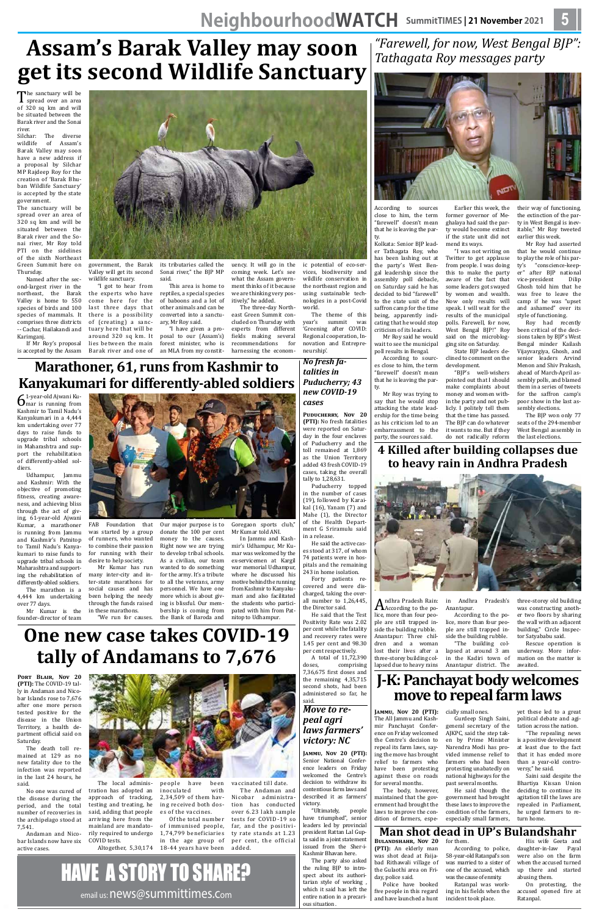# **Assam's Barak Valley may soon get its second Wildlife Sanctuary**

The sanctuary will be<br>spread over an area<br>of 320 sq km and will of 320 sq km and will be situated between the Barak river and the Sonai river.

Silchar: The diverse<br>wildlife of Assam's Assam's Barak Valley may soon have a new address if a proposal by Silchar MP Rajdeep Roy for the creation of 'Barak Bhuban Wildlife Sanctuary' is accepted by the state government.

The sanctuary will be spread over an area of 320 sq km and will be situated between the Barak river and the Sonai river, Mr Roy told PTI on the sidelines of the sixth Northeast Green Summit here on Thursday.

Named after the second-largest river in the northeast, the Barak Valley is home to 550 species of birds and 100 species of mammals. It comprises three districts -- Cachar, Hailakandi and Karimganj.

If Mr Roy's proposal



government, the Barak Valley will get its second

> The theme of this<br>year's summit was summit was 'Greening after COVID: Regional cooperation, Innovation and Entrepre-

is accepted by the Assam Barak river and one of around 320 sq km. It lies between the main

wildlife sanctuary. "I got to hear from the experts who have come here for the last three days that there is a possibility of (creating) a sanctuary here that will be said.

its tributaries called the Sonai river," the BJP MP This area is home to reptiles, a special species of baboons and a lot of

other animals and can be converted into a sanctuary, Mr Roy said. "I have given a pro-

posal to our (Assam's) forest minister, who is an MLA from my constituency. It will go in the coming week. Let's see what the Assam government thinks of it because we are thinking very positively," he added. The three-day North-

east Green Summit concluded on Thursday with experts from different fields making several recommendations for harnessing the econom-

ic potential of eco-services, biodiversity and wildlife conservation in the northeast region and using sustainable technologies in a post-Covid world.

## *"Farewell, for now, West Bengal BJP": Tathagata Roy messages party*



According to sources close to him, the term "farewell" doesn't mean that he is leaving the party.

 $6$ <sub>mar is running from</sub><br>Kashmir to Tamil Nadu's Kashmir to Tamil Nadu's Kanyakumari in a 4,444 km undertaking over 77 days to raise funds to upgrade tribal schools in Maharashtra and support the rehabilitation of differently-abled soldiers.

Kolkata: Senior BJP leader Tathagata Roy, who has been lashing out at the party's West Bengal leadership since the assembly poll debacle, on Saturday said he has decided to bid "farewell" to the state unit of the saffron camp for the time being, apparently indicating that he would stop criticism of its leaders.

Mr Roy said he would wait to see the municipal poll results in Bengal.

According to sources close to him, the term "farewell" doesn't mean that he is leaving the party.

Mr Roy was trying to say that he would stop attacking the state leadparty, the sources said.

### ership for the time being as his criticism led to an embarrassment to the

Earlier this week, the former governor of Meghalaya had said the party would become extinct if the state unit did not mend its ways. their way of functioning, the extinction of the party in West Bengal is inevitable," Mr Roy tweeted earlier this week.

State BJP leaders declined to comment on the development.

"I was not writing on Twitter to get applause from people. I was doing this to make the party aware of the fact that some leaders got swayed by women and wealth. Now only results will speak. I will wait for the results of the municipal polls. Farewell, for now, West Bengal BJP!" Roy said on the microblogging site on Saturday. that he would continue to play the role of his party's "conscience-keeper" after BJP national vice-president Ghosh told him that he was free to leave the camp if he was "upset

"BJP's well-wishers pointed out that I should make complaints about money and women within the party and not publicly. I politely tell them that the time has passed. The BJP can do whatever it wants to me. But if they

people have been<br>inoculated with inoculated 2,34,509 of them having received both doses of the vaccines. Of the total number of immunised people, 1,74,799 beneficiaries in the age group of 18-44 years have been

Mr Roy had asserted

Andhra Pradesh Rain:<br>lice, more than four peolice, more than four people are still trapped inside the building rubble. Anantapur: Three chilin Andhra Pradesh's Anantapur. According to the police, more than four peo-

do not radically reform the last elections. sembly elections. The BJP won only 77 seats of the 294-member West Bengal assembly in

and ashamed" over its style of functioning. Roy had recently been critical of the decisions taken by BJP's West Bengal minder Kailash Vijayvargiya, Ghosh, and senior leaders Arvind Menon and Shiv Prakash, ahead of March-April assembly polls, and blamed them in a series of tweets for the saffron camp's poor show in the last as-

## **Marathoner, 61, runs from Kashmir to Kanyakumari for differently-abled soldiers**

Udhampur, Jammu and Kashmir: With the objective of promoting fitness, creating awareness, and achieving bliss through the act of giving, 61-year-old Ajwani Kumar, a marathoner is running from Jammu and Kashmir's Patnitop to Tamil Nadu's Kanyakumari to raise funds to



upgrade tribal schools in Maharashtra and supporting the rehabilitation of differently-abled soldiers.

The marathon is a 4,444 km undertaking over 77 days.

Mr Kumar is the founder-director of team

desire to help society. Mr Kumar has run many inter-city and inter-state marathons for social causes and has been helping the needy through the funds raised

FAB Foundation that was started by a group of runners, who wanted to combine their passion for running with their money to the causes. Right now we are trying to develop tribal schools.

in these marathons. "We run for causes. ing is blissful. Our membership is coming from the Bank of Baroda and

Our major purpose is to donate the 100 per cent Goregaon sports club," Mr Kumar told ANI.

As a civilian, our team wanted to do something for the army. It's a tribute to all the veterans, army personnel. We have one more which is about givex-servicemen at Kargil war memorial Udhampur, where he discussed his motive behind the running from Kashmir to Kanyakumari and also facilitated the students who participated with him from Patnitop to Udhampur.

In Jammu and Kashmir's Udhampur, Mr Kumar was welcomed by the

### neurship'. *No fresh fatalities in Puducherry; 43 new COVID-19*

**One new case takes COVID-19** 

**tally of Andamans to 7,676**

**Port Blair, Nov 20 (PTI):** The COVID-19 tally in Andaman and Nicobar Islands rose to 7,676 after one more person tested positive for the disease in the Union Territory, a health department official said on

Saturday.

The death toll remained at 129 as no new fatality due to the infection was reported

said.

7,541.

in the last 24 hours, he No one was cured of the disease during the The local administration has adopted an approach of tracking, testing and treating, he said, adding that people arriving here from the mainland are mandatorily required to undergo

active cases.

period, and the total number of recoveries in the archipelago stood at Andaman and Nicobar Islands now have six COVID tests.

Altogether, 5,30,174

vaccinated till date. The Andaman and Nicobar administra-

added.





dren and a woman lost their lives after a three-storey building collapsed due to heavy rains ple are still trapped inside the building rubble. "The building collapsed at around 3 am in the Kadiri town of Anantapur district. The three-storey old building was constructing another two floors by sharing the wall with an adjacent building," Circle Inspector Satyababu said.

Rescue operation is underway. More information on the matter is awaited.

## **J-K: Panchayat body welcomes move to repeal farm laws**

**Jammu, Nov 20 (PTI):** The All Jammu and Kashmir Panchayat Conference on Friday welcomed the Centre's decision to repeal its farm laws, saying the move has brought relief to farmers who have been protesting against these on roads for several months.

The body, however, maintained that the government had brought the laws to improve the condition of farmers, especially small ones.

Gurdeep Singh Saini, general secretary of the AJKPC, said the step taken by Prime Minister Narendra Modi has provided immense relief to farmers who had been

protesting unabatedly on national highways for the past several months.

yet these led to a great political debate and agitation across the nation.

#### He said though the government had brought these laws to improve the condition of the farmers, especially small farmers, agitation till the laws are repealed in Parliament, he urged farmers to return home.

"The repealing news is a positive development at least due to the fact that it has ended more than a year-old controversy," he said.

Saini said despite the Bhartiya Kissan Union deciding to continue its

tion has conducted over 6.23 lakh sample tests for COVID-19 so far, and the positivity rate stands at 1.23 per cent, the official "Ultimately, people have triumphed", senior

day, police said.

five people in this regard and have launched a hunt

**(PTI):** An elderly man was shot dead at Faijabad Rithawali village of the Gulaothi area on Fri-Police have booked According to police, 58-year-old Ratanpal's son was married to a sister of one of the accused, which was the cause of enmity. Ratanpal was work-

#### **Man shot dead in UP's Bulandshahr Bulandshahr, Nov 20**  for them. His wife Geeta and

ing in his fields when the incident took place.

daughter-in-law Payal were also on the farm when the accused turned

up there and started abusing them. On protesting, the accused opened fire at Ratanpal.

*cases*

**Puducherry, Nov 20 (PTI):** No fresh fatalities were reported on Saturday in the four enclaves of Puducherry and the toll remained at 1,869 as the Union Territory added 43 fresh COVID-19 cases, taking the overall tally to 1,28,631. Puducherry topped

in the number of cases (19), followed by Karaikal (16), Yanam (7) and Mahe (1), the Director of the Health Department G Sriramulu said in a release.

He said the active cases stood at 317, of whom 74 patients were in hospitals and the remaining 243 in home isolation. Forty patients recovered and were discharged, taking the overall number to 1,26,445, the Director said. He said that the Test Positivity Rate was 2.02 per cent while the fatality and recovery rates were 1.45 per cent and 98.30 per cent respectively. A total of 11,72,390<br>doses. comprising comprising 7,36,675 first doses and the remaining 4,35,715 second shots, had been administered so far, he said.

### *Move to repeal agri laws farmers' victory: NC*

**Jammu, Nov 20 (PTI):**  Senior National Conference leaders on Friday welcomed the Centre's decision to withdraw its contentious farm laws and described it as farmers' victory.

leaders led by provincial president Rattan Lal Gupta said in a joint statement issued from the Sher-i-

Kashmir Bhavan here.

The party also asked the ruling BJP to introspect about its authoritarian style of working , which it said has left the entire nation in a precarious situation .

Have a story to share? email us: news@summittimes.com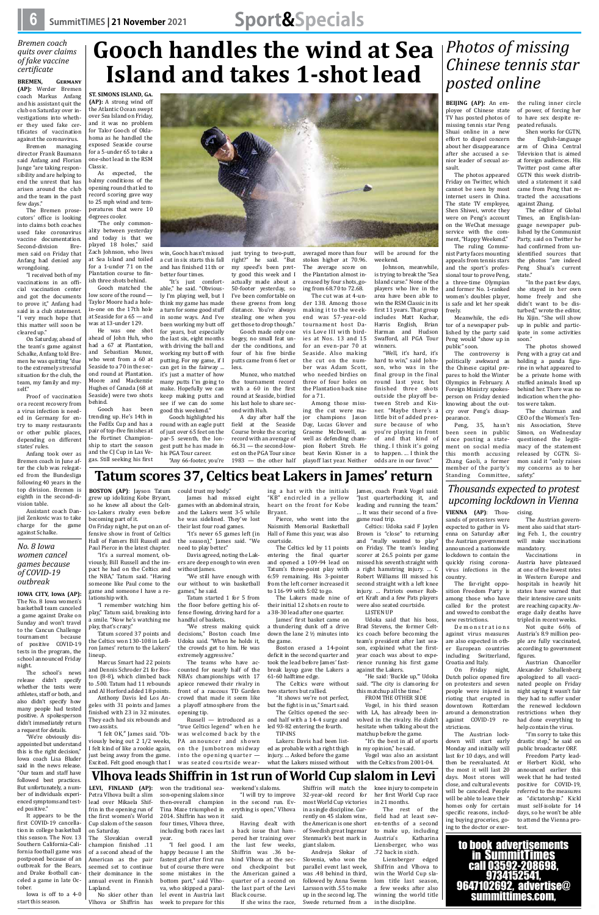

## **Sport&Specials**

# **Gooch handles the wind at Sea Island and takes 1-shot lead**

**ST. SIMONS ISLAND, Ga.** 

**(AP):** A strong wind off the Atlantic Ocean swept over Sea Island on Friday, and it was no problem for Talor Gooch of Oklahoma as he handled the exposed Seaside course for a 5-under 65 to take a one-shot lead in the RSM Classic.

As expected, the balmy conditions of the opening round that led to record scoring gave way to 25 mph wind and temperatures that were 10 degrees cooler.

"The only commonality between yesterday and today is that we played 18 holes," said Zach Johnson, who lives at Sea Island and toiled for a 1-under 71 on the Plantation course to finish three shots behind.

Gooch matched the low score of the round — Taylor Moore had a holein-one on the 17th hole at Seaside for a 65 — and

was at 13-under 129. He was one shot ahead of John Huh, who had a 67 at Plantation, and Sebastian Munoz, who went from a 60 at Seaside to a 70 in the second round at Plantation. Moore and Mackenzie Hughes of Canada (68 at Seaside) were two shots behind.

Gooch has been trending up. He's 14th in the FedEx Cup and has a pair of top-five finishes at the Fortinet Championship to start the season and the CJ Cup in Las Vegas. Still seeking his first win, Gooch hasn't missed a cut in six starts this fall and has finished 11th or better four times.

"It's just comfortable," he said. "Obviously I'm playing well, but I think my game has made a turn for some good stuff in some ways. And I've been working my butt off for years, but especially the last six, eight months with driving the ball and working my butt off with putting. For my game, if I can get in the fairway ... it's just a matter of how many putts I'm going to make. Hopefully we can keep making putts and see if we can do some

good this weekend." Gooch highlighted his

round with an eagle putt of just over 65 feet on the par-5 seventh, the longest putt he has made in his PGA Tour career. "Any 66-footer, you're

just trying to two-putt, right?" he said. "But my speed's been pretty good this week and I actually made about a 50-footer yesterday, so I've been comfortable on these greens from long distance. You're always stealing one when you get those to drop though."

Gooch made only one bogey, no small feat under the conditions, and four of his five birdie putts came from 6 feet or less.

Munoz, who matched the tournament record with a 60 in the first round at Seaside, birdied his last hole to share second with Huh.

A day after half the field at the Seaside Course broke the scoring record with an average of 66.31 — the second-lowest on the PGA Tour since 1983 — the other half

averaged more than four stokes higher at 70.96. The average score on the Plantation almost increased by four shots, go-

ing from 68.70 to 72.68. The cut was at 4-under 138. Among those making it to the weekend was 57-year-old tournament host Davis Love III with birdies at Nos. 13 and 15 for an even-par 70 at Seaside. Also making the cut on the number was Adam Scott, who needed birdies on three of four holes on

the Plantation back nine

for a 71. Among those missing the cut were major champions Jason Day, Lucas Glover and Graeme McDowell, as well as defending champion Robert Streb. He beat Kevin Kisner in a playoff last year. Neither

will be around for the weekend.

Johnson, meanwhile, is trying to break the "Sea Island curse." None of the players who live in the area have been able to win the RSM Classic in its first 11 years. That group includes Matt Kuchar, Harris English, Brian Harman and Hudson Swafford, all PGA Tour winners.

"Well, it's hard, it's hard to win," said Johnson, who was in the final group in the final round last year, but finished three shots outside the playoff between Streb and Kisner. "Maybe there's a little bit of added pressure because of who you're playing in front of and that kind of thing. I think it's going to happen. ... I think the odds are in our favor."

**Tatum scores 37, Celtics beat Lakers in James' return BOSTON (AP)**: Jayson Tatum grew up idolizing Kobe Bryant, so he knew all about the Celtics-Lakers rivalry even before

becoming part of it. On Friday night, he put on an of-



fensive show in front of Celtics Hall of Famers Bill Russell and Paul Pierce in the latest chapter. "It's a surreal moment, ob-

viously, Bill Russell and the impact he had on the Celtics and the NBA," Tatum said. "Having someone like Paul come to the game and someone I have a relationship with.

"I remember watching him play," Tatum said, breaking into a smile. "Now he's watching me play, that's crazy."

Tatum scored 37 points and the Celtics won 130-108 in LeBron James' return to the Lakers' lineup.

Marcus Smart had 22 points and Dennis Schroder 21 for Boston (8-8), which climbed back to .500. Tatum had 11 rebounds and Al Horford added 18 points. Anthony Davis led Los Angeles with 31 points and James finished with 23 in 32 minutes. They each had six rebounds and two assists.

"I felt OK,″ James said. "Obviously being out 2 1/2 weeks, I felt kind of like a rookie again, just being away from the game. Excited. Felt good enough that I

could trust my body." James had missed eight games with an abdominal strain, and the Lakers went 3-5 while

he was sidelined. They've lost their last four road games. "It's never 65 games left (in

the season)," James said. "We need to play better." Davis agreed, noting the Lak-

ers are deep enough to win even without James.

"We still have enough with our without to win basketball games," he said.

Tatum started 1 for 5 from the floor before getting his offense flowing, driving hard for a handful of baskets.

decisions," Boston coach Ime Udoka said. "When he holds it, the crowds get to him. He was extremely aggressive."

Shen works for CGTN,<br>the English-language English-language arm of China Central Television that is aimed at foreign audiences. His Twitter post came after CGTN this week distributed a statement it said came from Peng that retracted the accusations

The teams who have accounted for nearly half of the NBA's championships with 17 apiece renewed their rivalry in front of a raucous TD Garden crowd that made it seem like a playoff atmosphere from the opening tip. Russell — introduced as a

"true Celtics legend" when he was welcomed back by the PA announcer and shown on the Jumbotron midway into the opening quarter was seated courtside wear-

"We stress making quick a thundering dunk off a drive James' first basket came on down the lane 2 ½ minutes into the game.

ing a hat with the initials "KB" encircled in a yellow heart on the front for Kobe Bryant.

Pierce, who went into the Naismith Memorial Basketball Hall of Fame this year, was also courtside.

The Celtics led by 11 points entering the final quarter

and opened a 109-94 lead on Tatum's three-point play with 6:59 remaining. His 3-pointer from the left corner increased it to 116-99 with 5:02 to go.

The Lakers made nine of their initial 12 shots en route to a 38-30 lead after one quarter.

Boston erased a 14-point deficit in the second quarter and took the lead before James' fastbreak layup gave the Lakers a 61-60 halftime edge.

The Celtics were without two starters but rallied.

"It shows we're not perfect, but the fight is in us," Smart said. The Celtics opened the sec-

ond half with a 14-4 surge and led 93-82 entering the fourth. TIP-INS

Lakers: Davis had been listed as probable with a right thigh injury. … Asked before the game what the Lakers missed without

The school's news<br>release didn't specify didn't specify whether the tests were athletes, staff or both, and also didn't specify how many people had tested positive. A spokesperson didn't immediately return a request for details.

James, coach Frank Vogel said: "Just quarterbacking it, and leading and running the team." … It was their second of a fivegame road trip.

Celtics: Udoka said F Jaylen Brown is "close" to returning and "really wanted to play" on Friday. The team's leading scorer at 26.5 points per game

missed his seventh straight with a right hamstring injury. … C Robert Williams III missed his second straight with a left knee injury. … Patriots owner Robert Kraft and a few Pats players were also seated courtside.

LISTEN UP

Udoka said that his boss, Brad Stevens, the former Celtics coach before becoming the team's president after last season, explained what the firstyear coach was about to experience running his first game against the Lakers.

"He said: 'Buckle up,"' Udoka said. "The city is clamoring for this matchup all the time."

FROM THE OTHER SIDE

Vogel, in his third season with LA, has already been involved in the rivalry. He didn't hesitate when talking about the matchup before the game.

"It's the best in all of sports in my opinion," he said.

D e m o n s trations against virus measures are also expected in other European countries including Switzerland, Croatia and Italy. Austria's 8.9 million people are fully vaccinated,

Vogel was also an assistant with the Celtics from 2001-04.

**Vlhova leads Shiffrin in 1st run of World Cup slalom in Levi**

champion finished .11 of a second ahead of the American as the pair seemed set to continue their dominance in the annual event in Finnish Lapland.

**LEVI, FINLAND (AP):**  Petra Vlhova built a slim lead over Mikaela Shiffrin in the opening run of the first women's World Cup slalom of the season on Saturday. The Slovakian overall won the traditional seayear.

No skier other than Vlhova or Shiffrin has fastest girl after first run

son-opening slalom since then-overall champion Tina Maze triumphed in 2014. Shiffrin has won it four times, Vlhova three, "I will try to improve in the second run. Everything is open," Vlhova said.

bottom part," said Vlhova, who skipped a parallel event in Austria last week to prepare for this weekend's slaloms.

including both races last "I feel good. I am happy because I am the but of course there were some mistakes in the Having dealt with a back issue that hampered her training over the last few weeks, Shiffrin was .36 behind Vlhova at the second checkpoint but the American gained a quarter of a second on the last part of the Levi Black course.

If she wins the race, Swede returned from a

giant slalom.

Shiffrin will match the 32-year-old record for most World Cup victories knee injury to compete in her first World Cup race in 21 months.

Slovenia, who won the

was .48 behind in third, followed by Anna Swenn Larsson with .55 to make up in the second leg. The

in a single discipline. Currently on 45 slalom wins, the American is one short of Swedish great Ingemar Stenmark's best mark in Andreja Slokar of The rest of the field had at least seven-tenths of a second to make up, including<br>Austria's Katharina Katharina Liensberger, who was

parallel event last week, .72 back in sixth. Liensberger edged Shiffrin and Vlhova to win the World Cup slalom title last season, a few weeks after also winning the world title in the discipline.

*Photos of missing Chinese tennis star posted online*

**BEIJING (AP):** An employee of Chinese state TV has posted photos of missing tennis star Peng Shuai online in a new effort to dispel concern about her disappearance after she accused a senior leader of sexual assault.

The photos appeared Friday on Twitter, which cannot be seen by most internet users in China. The state TV employee, Shen Shiwei, wrote they were on Peng's account on the WeChat message service with the comment, "Happy Weekend."

The ruling Communist Party faces mounting appeals from tennis stars and the sport's professional tour to prove Peng, a three-time Olympian and former No. 1-ranked women's doubles player, is safe and let her speak freely.

Meanwhile, the editor of a newspaper published by the party said Peng would "show up in public" soon.

The controversy is politically awkward as the Chinese capital prepares to hold the Winter Olympics in February. A Foreign Ministry spokesperson on Friday denied knowing about the outcry over Peng's disappearance.

Peng, 35, hasn't been seen in public since posting a statement on social media this month accusing Zhang Gaoli, a former member of the party's Standing Committee,

the ruling inner circle of power, of forcing her to have sex despite re-

peated refusals.

against Zhang.

The editor of Global Times, an English-language newspaper published by the Communist Party, said on Twitter he had confirmed from unidentified sources that the photos "are indeed Peng Shuai's current

state."

"In the past few days, she stayed in her own home freely and she didn't want to be disturbed," wrote the editor, Hu Xijin. "She will show up in public and participate in some activities

soon."

The photos showed Peng with a gray cat and holding a panda figurine in what appeared to be a private home with stuffed animals lined up behind her. There was no indication when the pho-

tos were taken. The chairman and CEO of the Women's Tennis Association, Steve Simon, on Wednesday questioned the legitimacy of the statement released by CGTN. Simon said it "only raises my concerns as to her

safety."

#### *Bremen coach quits over claims of fake vaccine certificate*

**BREMEN, Germany (AP):** Werder Bremen coach Markus Anfang and his assistant quit the club on Saturday over investigations into whether they used fake certificates of vaccination against the coronavirus.

Bremen managing director Frank Baumann said Anfang and Florian Junge "are taking responsibility and are helping to end the unrest that has arisen around the club and the team in the past few days."

The Bremen prosecutors' office is looking into claims both coaches used fake coronavirus vaccine documentation.<br>Second-division Bre-Second-division men said on Friday that Anfang had denied any wrongdoing.

"I received both of my vaccinations in an official vaccination center and got the documents to prove it," Anfang had said in a club statement. "I very much hope that this matter will soon be cleared up."

On Saturday, ahead of the team's game against Schalke, Anfang told Bremen he was quitting "due to the extremely stressful situation for the club, the team, my family and myself."

Proof of vaccination or a recent recovery from a virus infection is needed in Germany for entry to many restaurants or other public places, depending on different states' rules.

Anfang took over as Bremen coach in June after the club was relegated from the Bundesliga following 40 years in the top division. Bremen is eighth in the second-division table.

Assistant coach Danjiel Zenkovic was to take charge for the game against Schalke.

*No. 8 Iowa women cancel* 

#### *games because of COVID-19 outbreak*

**IOWA CITY, Iowa (AP):**  The No. 8 Iowa women's basketball team canceled a game against Drake on Sunday and won't travel to the Cancun Challenge<br>tournament because tournament of positive COVID-19 tests in the program, the school announced Friday night.

"We're obviously disappointed but understand this is the right decision," Iowa coach Lisa Bluder said in the news release. "Our team and staff have followed best practices. But unfortunately, a number of individuals experienced symptoms and tested positive."

It appears to be the first COVID-19 cancellation in college basketball this season. The Nov. 13 Southern California-California football game was postponed because of an outbreak for the Bears, and Drake football canceled a game in late October.

Iowa is off to a 4-0 start this season.

### *Thousands expected to protest upcoming lockdown in Vienna*

**VIENNA (AP)**: Thousands of protesters were expected to gather in Vienna on Saturday after the Austrian government announced a nationwide lockdown to contain the

The far-right opposition Freedom Party is among those who have called for the protest and vowed to combat the new restrictions.

On Friday night, Dutch police opened fire on protesters and seven people were injured in rioting that erupted in downtown Rotterdam around a demonstration against COVID-19 restrictions.

quickly rising coronavirus infections in the country. Austria have plateaued at one of the lowest rates in Western Europe and

down will start early Monday and initially will last for 10 days, and will then be reevaluated. At the most it will last 20 days. Most stores will close, and cultural events will be canceled. People will be able to leave their homes only for certain specific reasons, including buying groceries, going to the doctor or exer-

cising.

The Austrian government also said that starting Feb. 1, the country will make vaccinations mandatory.

The Austrian lockaccording to government figures. Austrian Chancellor Alexander Schallenberg apologized to all vaccinated people on Friday night saying it wasn't fair they had to suffer under the renewed lockdown restrictions when they had done everything to help contain the virus. "I'm sorry to take this drastic step," he said on public broadcaster ORF. Freedom Party lead-

hospitals in heavily hit states have warned that their intensive care units are reaching capacity. Average daily deaths have tripled in recent weeks. Not quite 66% of

er Herbert Kickl, who announced earlier this week that he had tested positive for COVID-19, referred to the measures as "dictatorship." Kickl must self-isolate for 14 days, so he won't be able to attend the Vienna protest.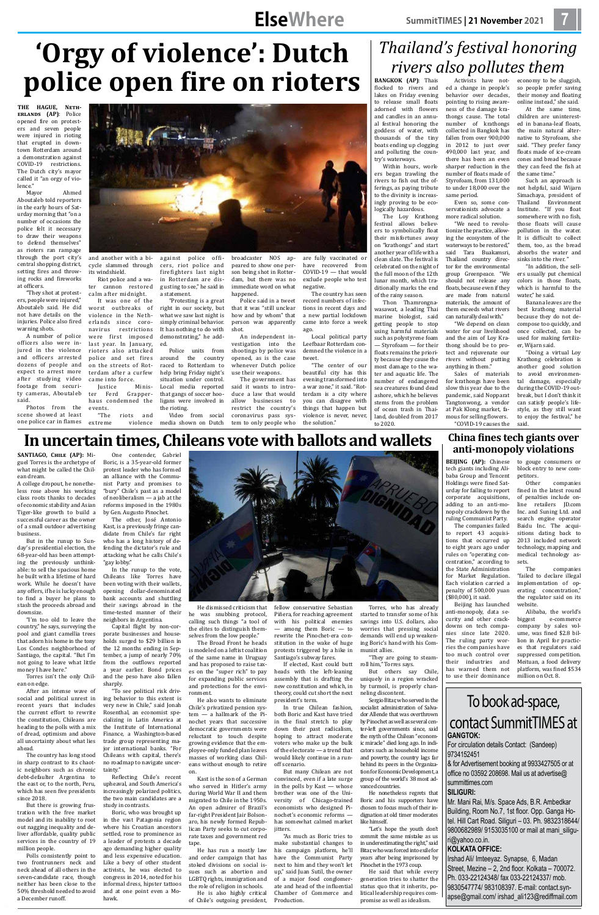To book ad-space, contact SummitTimes at GANGTOK:

For circulation details Contact: (Sandeep) 9734152451

& for Advertisement booking at 9933427505 or at office no 03592 208698. Mail us at advertise@ summittimes.com

#### **Siliguri:**

Mr. Mani Rai, M/s. Space Ads, B.R. Ambedkar Building, Room No.7, 1st floor. Opp. Ganga Hotel. Hill Cart Road. Siliguri – 03. Ph. 9832318644/ 9800682989/ 9153035100 or mail at mani\_siliguri@yahoo.co.in.

**THE HAGUE, Netherlands (AP)**: Police opened fire on protesters and seven people were injured in rioting that erupted in downtown Rotterdam around a demonstration against COVID-19 restrictions. The Dutch city's mayor called it "an orgy of violence."<br>Mayor

#### **Kolkata office:**

Irshad Ali/ Imteeyaz. Synapse, 6, Madan Street, Mezine – 2, 2nd floor. Kolkata – 700072. Ph. 033-22124348/ fax 033-22124337/ mob. 9830547774/ 983108397. E-mail: contact.synapse@gmail.com/ irshad\_ali123@rediffmail.com

# **'Orgy of violence': Dutch police open fire on rioters**

It was one of the worst outbreaks of violence in the Netherlands since coronavirus restrictions were first imposed last year. In January, rioters also attacked police and set fires on the streets of Rotterdam after a curfew came into force.<br>Iustice Minis-Justice Minis-<br>Ferd Grapper-

ter Ferd haus condemned the events.<br>The "The riots and<br>extreme violence

Mayor Ahmed Aboutaleb told reporters in the early hours of Saturday morning that "on a number of occasions the police felt it necessary to draw their weapons to defend themselves" as rioters ran rampage through the port city's central shopping district, setting fires and throwing rocks and fireworks at officers.

> violence Video from social media shown on Dutch

"They shot at protesters, people were injured," Aboutaleb said. He did not have details on the injuries. Police also fired warning shots.

A number of police officers also were injured in the violence and officers arrested dozens of people and expect to arrest more after studying video footage from security cameras, Aboutaleb said.

Photos from the scene showed at least one police car in flames



Riot police and a water cannon restored calm after midnight.

and another with a bicycle slammed through its windshield. against police officers, riot police and firefighters last night in Rotterdam are dis-

gusting to see," he said in

a statement.

"Protesting is a great right in our society, but what we saw last night is simply criminal behavior. It has nothing to do with demonstrating," he add-

ed.

Police units from around the country raced to Rotterdam to

the rioting.

broadcaster NOS appeared to show one person being shot in Rotterdam, but there was no immediate word on what happened.

help bring Friday night's situation under control. Local media reported that gangs of soccer hooligans were involved in The government has said it wants to introduce a law that would allow businesses to restrict the country's coronavirus pass system to only people who

Police said in a tweet that it was "still unclear how and by whom" that person was apparently shot. An independent in-

vestigation into the shootings by police was opened, as is the case whenever Dutch police use their weapons.

are fully vaccinated or have recovered from COVID-19 — that would exclude people who test negative.

The country has seen record numbers of infections in recent days and a new partial lockdown came into force a week ago.

Local political party Leefbaar Rotterdam condemned the violence in a tweet. "The center of our

beautiful city has this evening transformed into a war zone," it said. "Rotterdam is a city where you can disagree with things that happen but violence is never, never, the solution."

**In uncertain times, Chileans vote with ballots and wallets**

**SANTIAGO, Chile (AP):** Miguel Torres is the archetype of what might be called the Chilean dream.

A college dropout, he nonetheless rose above his working class roots thanks to decades of economic stability and Asian Tiger-like growth to build a successful career as the owner of a small outdoor advertising business.

But in the runup to Sunday's presidential election, the 68-year-old has been attempt-

ing the previously unthinkable: to sell the spacious home he built with a lifetime of hard work. While he doesn't have any offers, if he is lucky enough to find a buyer he plans to stash the proceeds abroad and downsize.

> But many Chilean are not convinced, even if a late surge in the polls by Kast — whose brother was one of the University of Chicago-trained economists who designed Pinochet's economic reforms has somewhat calmed market iitters.

"I'm too old to leave the country," he says, surveying the pool and giant camellia trees that adorn his home in the tony Los Condes neighborhood of Santiago, the capital. "But I'm not going to leave what little money I have here."

Torres isn't the only Chilean on edge.

After an intense wave of social and political unrest in recent years that includes the current effort to rewrite the constitution, Chileans are heading to the polls with a mix of dread, optimism and above all uncertainty about what lies ahead.

The country has long stood in sharp contrast to its chaotic neighbors such as chronic debt-defaulter Argentina to the east or, to the north, Peru, which has seen five presidents since 2018.

But there is growing frustration with the free market model and its inability to root out nagging inequality and deliver affordable, quality public services in the country of 19 million people.

Polls consistently point to two frontrunners neck and neck ahead of all others in the seven-candidate race, though neither has been close to the 50% threshold needed to avoid a December runoff.

One contender, Gabriel Boric, is a 35-year-old former protest leader who has formed an alliance with the Communist Party and promises to "bury" Chile's past as a model of neoliberalism — a jab at the reforms imposed in the 1980s by Gen. Augusto Pinochet.

The other, José Antonio Kast, is a previously fringe candidate from Chile's far right who has a long history of defending the dictator's rule and attacking what he calls Chile's "gay lobby." In the runup to the vote, Chileans like Torres have been voting with their wallets, opening dollar-denominated bank accounts and shuttling their savings abroad in the time-tested manner of their neighbors in Argentina. Capital flight by non-corporate businesses and households surged to \$29 billion in the 12 months ending in September, a jump of nearly 70% from the outflows reported a year earlier. Bond prices and the peso have also fallen sharply. "To see political risk driving behavior to this extent is very new in Chile," said Jonah Rosenthal, an economist specializing in Latin America at the Institute of International Finance, a Washington-based trade group representing major international banks. "For Chileans with capital, there's no roadmap to navigate uncertainty."



Reflecting Chile's recent upheaval, and South America's increasingly polarized politics, the two main candidates are a study in contrasts.

Boric, who was brought up in the vast Patagonia region where his Croatian ancestors settled, rose to prominence as a leader of protests a decade ago demanding higher quality and less expensive education. Like a bevy of other student activists, he was elected to congress in 2014, noted for his informal dress, hipster tattoos and at one point even a Mohawk.

He dismissed criticism that he was snubbing protocol, calling such things "a tool of the elites to distinguish themselves from the low people."

The Broad Front he heads is modeled on a leftist coalition of the same name in Uruguay and has proposed to raise taxes on the "super rich" to pay for expanding public services and protections for the environment.

#### to gouge consumers or block entry to new competitors.<br>Other companies

sets.<br>The companies "failed to declare illegal implementation of operating concentration," the regulator said on its website.

He also wants to eliminate Chile's privatized pension system — a hallmark of the Pinochet years that successive democratic governments were reluctant to touch despite growing evidence that the employee-only funded plan leaves masses of working class Chileans without enough to retire on.

Alibaba, the world's<br>biggest e-commerce e-commerce company by sales volume, was fined \$2.8 billion in April for practices that regulators said suppressed competition. Meituan, a food delivery platform, was fined \$534 million on Oct. 8.

Kast is the son of a German who served in Hitler's army during World War II and them migrated to Chile in the 1950s. An open admirer of Brazil's far-right President Jair Bolsonaro, his newly formed Republican Party seeks to cut corporate taxes and government red tape.

He has run a mostly law and order campaign that has stoked divisions on social issues such as abortion and LGBTQ rights, immigration and the role of religion in schools.

He is also highly critical of Chile's outgoing president, fellow conservative Sebastian Piñera, for reaching agreement with his political enemies — among them Boric — to rewrite the Pinochet-era constitution in the wake of huge protests triggered by a hike in Santiago's subway fares.

If elected, Kast could butt heads with the left-leaning assembly that is drafting the new constitution and which, in theory, could cut short the next president's term.

In true Chilean fashion, both Boric and Kast have tried in the final stretch to play down their past radicalism, hoping to attract moderate voters who make up the bulk of the electorate — a trend that would likely continue in a runoff scenario.

"As much as Boric tries to make substantial changes to his campaign platform, he'll have the Communist Party next to him and they won't let up," said Juan Sutil, the owner of a major food conglomerate and head of the influential Chamber of Commerce and Production.

Torres, who has already started to transfer some of his savings into U.S. dollars, also worries that pressing social demands will end up weakening Boric's hand with his Communist allies.

"They are going to steamroll him," Torres says.

But others say Chile, uniquely in a region wracked by turmoil, is properly channeling discontent.

Sergio Bitar, who served in the socialist administration of Salvador Allende that was overthrown by Pinochet as well as several center-left governments since, said the myth of the Chilean "economic miracle" died long ago. In indicators such as household income and poverty, the country lags far behind its peers in the Organization for Economic Development, a group of the world's 38 most advanced countries.

He nonetheless regrets that Boric and his supporters have chosen to focus much of their indignation at old timer moderates like himself.

"Let's hope the youth don't commit the same mistake as us in underestimating the right," said Bitar, who was forced into exile for years after being imprisoned by Pinochet in the 1973 coup.

He said that while every generation tries to shatter the status quo that it inherits, political leadership requires compromise as well as idealism.

*Thailand's festival honoring rivers also pollutes them*

**BANGKOK (AP)**: Thais flocked to rivers and lakes on Friday evening to release small floats adorned with flowers and candles in an annual festival honoring the goddess of water, with thousands of the tiny boats ending up clogging and polluting the country's waterways.

Within hours, workers began trawling the rivers to fish out the offerings, as paying tribute to the divinity is increasingly proving to be ecologically hazardous.

The Loy Krathong festival allows believers to symbolically float their misfortunes away on "krathongs" and start another year of life with a clean slate. The festival is celebrated on the night of the full moon of the 12th lunar month, which traditionally marks the end of the rainy season.

Thon Thamrongnawasawat, a leading Thai marine biologist, said getting people to stop using harmful materials such as polystyrene foam — Styrofoam — for their floats remains the priority because they cause the most damage to the water and aquatic life. The number of endangered sea creatures found dead ashore, which he believes stems from the problem of ocean trash in Thailand, doubled from 2017 to 2020.

Activists have noted a change in people's behavior over decades, pointing to rising awareness of the damage krathongs cause. The total number of krathongs collected in Bangkok has fallen from over 900,000 in 2012 to just over 490,000 last year, and there has been an even sharper reduction in the number of floats made of Styrofoam, from 131,000 to under 18,000 over the

same period. Even so, some conservationists advocate a more radical solution.

"We need to revolutionize the practice, allowing the ecosystem of the waterways to be restored," said Tara Buakamsri, Thailand country director for the environmental group Greenpeace. "We should not release any floats, because even if they are made from natural materials, the amount of them exceeds what rivers

can naturally deal with." "We depend on clean water for our livelihood and the aim of Loy Krathong should be to protect and rejuvenate our rivers without putting anything in them." Sales of materials

for krathongs have been slow this year due to the pandemic, said Nopparat Tangtonwong, a vendor at Pak Klong market, famous for selling flowers. "COVID-19 causes the

economy to be sluggish, so people prefer saving their money and floating online instead," she said.

At the same time, children are uninterested in banana-leaf floats, the main natural alternative to Styrofoam, she said. "They prefer fancy floats made of ice-cream cones and bread because they can feed the fish at the same time."

Such an approach is not helpful, said Wijarn Simachaya, president of Thailand Environment Institute. "If you float somewhere with no fish, those floats will cause pollution in the water. It is difficult to collect them, too, as the bread absorbs the water and sinks into the river. "

"In addition, the sellers usually put chemical colors in those floats, which is harmful to the water," he said.

Banana leaves are the best krathong material because they do not decompose too quickly, and once collected, can be used for making fertilizer, Wijarn said.

"Doing a virtual Loy Krathong celebration is another good solution to avoid environmental damage, especially during the COVID-19 outbreak, but I don't think it can satisfy people's lifestyle, as they still want to enjoy the festival," he said.

### **China fines tech giants over anti-monopoly violations**

**BEIJING (AP):** Chinese tech giants including Alibaba Group and Tencent Holdings were fined Saturday for failing to report corporate acquisitions, adding to an anti-monopoly crackdown by the ruling Communist Party.

The companies failed to report 43 acquisitions that occurred up to eight years ago under rules on "operating con-

centration," according to

the State Administration for Market Regulation. Each violation carried a penalty of 500,000 yuan (\$80,000), it said.

Beijing has launched anti-monopoly, data security and other crackdowns on tech companies since late 2020. The ruling party worries the companies have too much control over their industries and has warned them not to use their dominance

fined in the latest round of penalties include online retailers JD.com Inc. and Suning Ltd. and search engine operator Baidu Inc. The acquisitions dating back to 2013 included network technology, mapping and medical technology as-